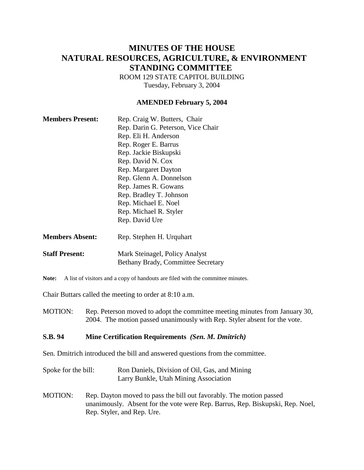# **MINUTES OF THE HOUSE NATURAL RESOURCES, AGRICULTURE, & ENVIRONMENT STANDING COMMITTEE**

ROOM 129 STATE CAPITOL BUILDING Tuesday, February 3, 2004

#### **AMENDED February 5, 2004**

| <b>Members Present:</b> | Rep. Craig W. Butters, Chair       |
|-------------------------|------------------------------------|
|                         | Rep. Darin G. Peterson, Vice Chair |
|                         | Rep. Eli H. Anderson               |
|                         | Rep. Roger E. Barrus               |
|                         | Rep. Jackie Biskupski              |
|                         | Rep. David N. Cox                  |
|                         | Rep. Margaret Dayton               |
|                         | Rep. Glenn A. Donnelson            |
|                         | Rep. James R. Gowans               |
|                         | Rep. Bradley T. Johnson            |
|                         | Rep. Michael E. Noel               |
|                         | Rep. Michael R. Styler             |
|                         | Rep. David Ure                     |
| <b>Members Absent:</b>  | Rep. Stephen H. Urquhart           |
| <b>Staff Present:</b>   | Mark Steinagel, Policy Analyst     |

Note: A list of visitors and a copy of handouts are filed with the committee minutes.

Chair Buttars called the meeting to order at 8:10 a.m.

MOTION: Rep. Peterson moved to adopt the committee meeting minutes from January 30, 2004. The motion passed unanimously with Rep. Styler absent for the vote.

Bethany Brady, Committee Secretary

#### **S.B. 94 Mine Certification Requirements** *(Sen. M. Dmitrich)*

Sen. Dmitrich introduced the bill and answered questions from the committee.

Spoke for the bill: Ron Daniels, Division of Oil, Gas, and Mining Larry Bunkle, Utah Mining Association

MOTION: Rep. Dayton moved to pass the bill out favorably. The motion passed unanimously. Absent for the vote were Rep. Barrus, Rep. Biskupski, Rep. Noel, Rep. Styler, and Rep. Ure.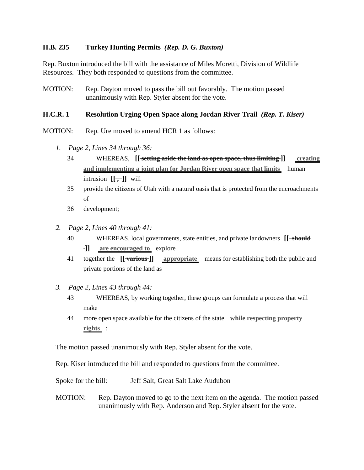#### **H.B. 235 Turkey Hunting Permits** *(Rep. D. G. Buxton)*

Rep. Buxton introduced the bill with the assistance of Miles Moretti, Division of Wildlife Resources. They both responded to questions from the committee.

MOTION: Rep. Dayton moved to pass the bill out favorably. The motion passed unanimously with Rep. Styler absent for the vote.

#### **H.C.R. 1 Resolution Urging Open Space along Jordan River Trail** *(Rep. T. Kiser)*

- MOTION: Rep. Ure moved to amend HCR 1 as follows:
	- *1. Page 2, Lines 34 through 36:*
		- 34 WHEREAS, **[[ setting aside the land as open space, thus limiting ]] creating and implementing a joint plan for Jordan River open space that limits** human intrusion  $[[\overline{\cdot},\cdot]]$  will
		- 35 provide the citizens of Utah with a natural oasis that is protected from the encroachments of
		- 36 development;
	- *2. Page 2, Lines 40 through 41:*
		- 40 WHEREAS, local governments, state entities, and private landowners **[[ should ]] are encouraged to** explore
		- 41 together the **[[ various ]] appropriate** means for establishing both the public and private portions of the land as
	- *3. Page 2, Lines 43 through 44:*
		- 43 WHEREAS, by working together, these groups can formulate a process that will make
		- 44 more open space available for the citizens of the state **while respecting property rights** :

The motion passed unanimously with Rep. Styler absent for the vote.

Rep. Kiser introduced the bill and responded to questions from the committee.

Spoke for the bill: Jeff Salt, Great Salt Lake Audubon

MOTION: Rep. Dayton moved to go to the next item on the agenda. The motion passed unanimously with Rep. Anderson and Rep. Styler absent for the vote.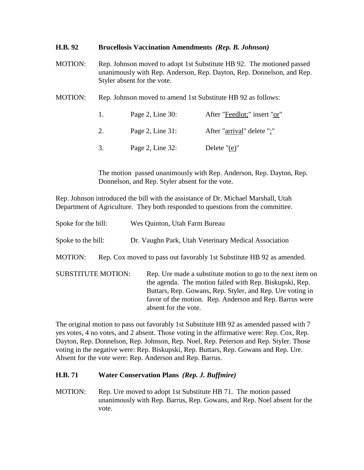### **H.B. 92 Brucellosis Vaccination Amendments** *(Rep. B. Johnson)*

- MOTION: Rep. Johnson moved to adopt 1st Substitute HB 92. The motioned passed unanimously with Rep. Anderson, Rep. Dayton, Rep. Donnelson, and Rep. Styler absent for the vote.
- MOTION: Rep. Johnson moved to amend 1st Substitute HB 92 as follows:

|    | Page 2, Line $30$ : | After "Feedlot;" insert "or" |
|----|---------------------|------------------------------|
| 2. | Page 2, Line $31$ : | After "arrival" delete ";"   |
| 3. | Page 2, Line 32:    | Delete " $(e)$ "             |

The motion passed unanimously with Rep. Anderson, Rep. Dayton, Rep. Donnelson, and Rep. Styler absent for the vote.

Rep. Johnson introduced the bill with the assistance of Dr. Michael Marshall, Utah Department of Agriculture. They both responded to questions from the committee.

| Spoke for the bill:       | Wes Quinton, Utah Farm Bureau                                                                                                                                                                                                                                          |
|---------------------------|------------------------------------------------------------------------------------------------------------------------------------------------------------------------------------------------------------------------------------------------------------------------|
| Spoke to the bill:        | Dr. Vaughn Park, Utah Veterinary Medical Association                                                                                                                                                                                                                   |
| <b>MOTION:</b>            | Rep. Cox moved to pass out favorably 1st Substitute HB 92 as amended.                                                                                                                                                                                                  |
| <b>SUBSTITUTE MOTION:</b> | Rep. Ure made a substitute motion to go to the next item on<br>the agenda. The motion failed with Rep. Biskupski, Rep.<br>Buttars, Rep. Gowans, Rep. Styler, and Rep. Ure voting in<br>favor of the motion. Rep. Anderson and Rep. Barrus were<br>absent for the vote. |

The original motion to pass out favorably 1st Substitute HB 92 as amended passed with 7 yes votes, 4 no votes, and 2 absent. Those voting in the affirmative were: Rep. Cox, Rep. Dayton, Rep. Donnelson, Rep. Johnson, Rep. Noel, Rep. Peterson and Rep. Styler. Those voting in the negative were: Rep. Biskupski, Rep. Buttars, Rep. Gowans and Rep. Ure. Absent for the vote were: Rep. Anderson and Rep. Barrus.

#### **H.B. 71 Water Conservation Plans** *(Rep. J. Buffmire)*

MOTION: Rep. Ure moved to adopt 1st Substitute HB 71. The motion passed unanimously with Rep. Barrus, Rep. Gowans, and Rep. Noel absent for the vote.